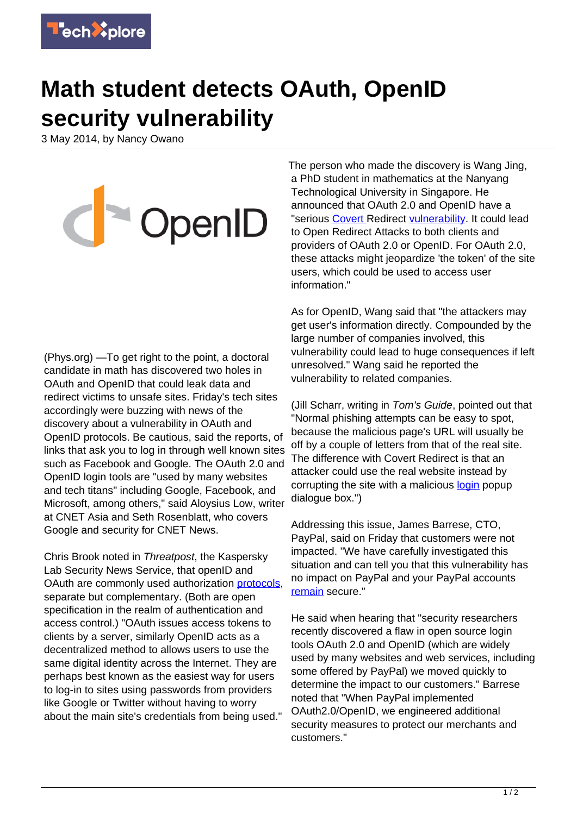

## **Math student detects OAuth, OpenID security vulnerability**

3 May 2014, by Nancy Owano

CpenID

(Phys.org) —To get right to the point, a doctoral candidate in math has discovered two holes in OAuth and OpenID that could leak data and redirect victims to unsafe sites. Friday's tech sites accordingly were buzzing with news of the discovery about a vulnerability in OAuth and OpenID protocols. Be cautious, said the reports, of links that ask you to log in through well known sites such as Facebook and Google. The OAuth 2.0 and OpenID login tools are "used by many websites and tech titans" including Google, Facebook, and Microsoft, among others," said Aloysius Low, writer at CNET Asia and Seth Rosenblatt, who covers Google and security for CNET News.

Chris Brook noted in Threatpost, the Kaspersky Lab Security News Service, that openID and OAuth are commonly used authorization [protocols](https://threatpost.com/critical-holes-in-oauth-openid-could-leak-information-redirect-users/105876), separate but complementary. (Both are open specification in the realm of authentication and access control.) "OAuth issues access tokens to clients by a server, similarly OpenID acts as a decentralized method to allows users to use the same digital identity across the Internet. They are perhaps best known as the easiest way for users to log-in to sites using passwords from providers like Google or Twitter without having to worry about the main site's credentials from being used."

The person who made the discovery is Wang Jing, a PhD student in mathematics at the Nanyang Technological University in Singapore. He announced that OAuth 2.0 and OpenID have a "serious [Covert](http://tetraph.com/covert_redirect/oauth2_openid_covert_redirect.html) Redirect [vulnerability](https://techxplore.com/tags/vulnerability/). It could lead to Open Redirect Attacks to both clients and providers of OAuth 2.0 or OpenID. For OAuth 2.0, these attacks might jeopardize 'the token' of the site users, which could be used to access user information."

As for OpenID, Wang said that "the attackers may get user's information directly. Compounded by the large number of companies involved, this vulnerability could lead to huge consequences if left unresolved." Wang said he reported the vulnerability to related companies.

(Jill Scharr, writing in Tom's Guide, pointed out that "Normal phishing attempts can be easy to spot, because the malicious page's URL will usually be off by a couple of letters from that of the real site. The difference with Covert Redirect is that an attacker could use the real website instead by corrupting the site with a malicious [login](http://www.tomsguide.com/us/facebook-google-covert-redirect-flaw,news-18726.html) popup dialogue box.")

Addressing this issue, James Barrese, CTO, PayPal, said on Friday that customers were not impacted. "We have carefully investigated this situation and can tell you that this vulnerability has no impact on PayPal and your PayPal accounts [remain](https://www.paypal-community.com/t5/PayPal-Forward/OAuth-OpenID-Security-Flaw-PayPal-Customers-Not-Impacted/ba-p/807854) secure."

He said when hearing that "security researchers recently discovered a flaw in open source login tools OAuth 2.0 and OpenID (which are widely used by many websites and web services, including some offered by PayPal) we moved quickly to determine the impact to our customers." Barrese noted that "When PayPal implemented OAuth2.0/OpenID, we engineered additional security measures to protect our merchants and customers."